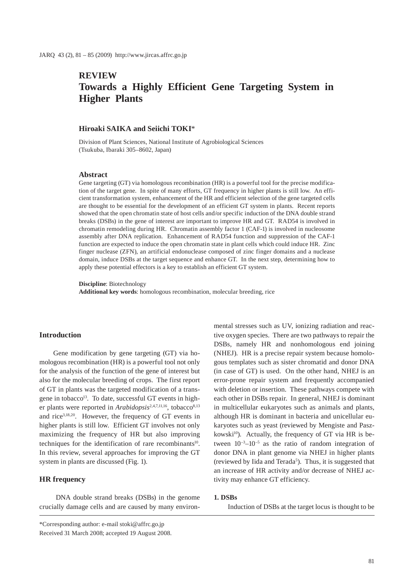# **REVIEW Towards a Highly Efficient Gene Targeting System in Higher Plants**

# **Hiroaki SAIKA and Seiichi TOKI**\*

Division of Plant Sciences, National Institute of Agrobiological Sciences (Tsukuba, Ibaraki 305–8602, Japan)

#### **Abstract**

Gene targeting (GT) via homologous recombination (HR) is a powerful tool for the precise modification of the target gene. In spite of many efforts, GT frequency in higher plants is still low. An efficient transformation system, enhancement of the HR and efficient selection of the gene targeted cells are thought to be essential for the development of an efficient GT system in plants. Recent reports showed that the open chromatin state of host cells and/or specific induction of the DNA double strand breaks (DSBs) in the gene of interest are important to improve HR and GT. RAD54 is involved in chromatin remodeling during HR. Chromatin assembly factor 1 (CAF-1) is involved in nucleosome assembly after DNA replication. Enhancement of RAD54 function and suppression of the CAF-1 function are expected to induce the open chromatin state in plant cells which could induce HR. Zinc finger nuclease (ZFN), an artificial endonuclease composed of zinc finger domains and a nuclease domain, induce DSBs at the target sequence and enhance GT. In the next step, determining how to apply these potential effectors is a key to establish an efficient GT system.

**Discipline**: Biotechnology **Additional key words**: homologous recombination, molecular breeding, rice

#### **Introduction**

Gene modification by gene targeting (GT) via homologous recombination (HR) is a powerful tool not only for the analysis of the function of the gene of interest but also for the molecular breeding of crops. The first report of GT in plants was the targeted modification of a transgene in tobacco<sup>13</sup>. To date, successful GT events in higher plants were reported in *Arabidopsis*<sup>2,4,7,11,16</sup>, tobacco<sup>8,13</sup> and rice3,18,20. However, the frequency of GT events in higher plants is still low. Efficient GT involves not only maximizing the frequency of HR but also improving techniques for the identification of rare recombinants<sup>10</sup>. In this review, several approaches for improving the GT system in plants are discussed (Fig. 1).

# **HR frequency**

 DNA double strand breaks (DSBs) in the genome crucially damage cells and are caused by many environmental stresses such as UV, ionizing radiation and reactive oxygen species. There are two pathways to repair the DSBs, namely HR and nonhomologous end joining (NHEJ). HR is a precise repair system because homologous templates such as sister chromatid and donor DNA (in case of GT) is used. On the other hand, NHEJ is an error-prone repair system and frequently accompanied with deletion or insertion. These pathways compete with each other in DSBs repair. In general, NHEJ is dominant in multicellular eukaryotes such as animals and plants, although HR is dominant in bacteria and unicellular eukaryotes such as yeast (reviewed by Mengiste and Paszkowski $10$ ). Actually, the frequency of GT via HR is between  $10^{-3}$ – $10^{-5}$  as the ratio of random integration of donor DNA in plant genome via NHEJ in higher plants (reviewed by Iida and Terada<sup>5</sup>). Thus, it is suggested that an increase of HR activity and/or decrease of NHEJ activity may enhance GT efficiency.

## **1. DSBs**

Induction of DSBs at the target locus is thought to be

<sup>\*</sup>Corresponding author: e-mail stoki@affrc.go.jp

Received 31 March 2008; accepted 19 August 2008.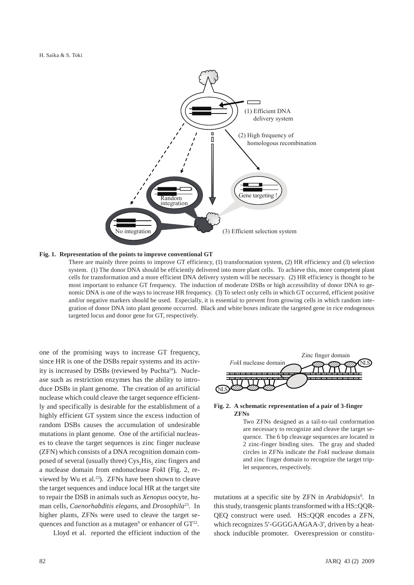

#### **Fig. 1. Representation of the points to improve conventional GT**

There are mainly three points to improve GT efficiency, (1) transformation system, (2) HR efficiency and (3) selection system. (1) The donor DNA should be efficiently delivered into more plant cells. To achieve this, more competent plant cells for transformation and a more efficient DNA delivery system will be necessary. (2) HR efficiency is thought to be most important to enhance GT frequency. The induction of moderate DSBs or high accessibility of donor DNA to genomic DNA is one of the ways to increase HR frequency. (3) To select only cells in which GT occurred, efficient positive and/or negative markers should be used. Especially, it is essential to prevent from growing cells in which random integration of donor DNA into plant genome occurred. Black and white boxes indicate the targeted gene in rice endogenous targeted locus and donor gene for GT, respectively.

one of the promising ways to increase GT frequency, since HR is one of the DSBs repair systems and its activity is increased by DSBs (reviewed by Puchta<sup>14</sup>). Nuclease such as restriction enzymes has the ability to introduce DSBs in plant genome. The creation of an artificial nuclease which could cleave the target sequence efficiently and specifically is desirable for the establishment of a highly efficient GT system since the excess induction of random DSBs causes the accumulation of undesirable mutations in plant genome. One of the artificial nucleases to cleave the target sequences is zinc finger nuclease (ZFN) which consists of a DNA recognition domain composed of several (usually three) Cys<sub>2</sub>His<sub>2</sub> zinc fingers and a nuclease domain from endonuclease *Fok*I (Fig. 2, reviewed by Wu et al.<sup>23</sup>). ZFNs have been shown to cleave the target sequences and induce local HR at the target site to repair the DSB in animals such as *Xenopus* oocyte, human cells, *Caenorhabditis elegans*, and *Drosophila*23. In higher plants, ZFNs were used to cleave the target sequences and function as a mutagen<sup>9</sup> or enhancer of  $GT^{22}$ .

Lloyd et al.reported the efficient induction of the



## **Fig. 2. A schematic representation of a pair of 3-finger ZFNs**

Two ZFNs designed as a tail-to-tail conformation are necessary to recognize and cleave the target sequence. The 6 bp cleavage sequences are located in 2 zinc-finger binding sites. The gray and shaded circles in ZFNs indicate the *Fok*I nuclease domain and zinc finger domain to recognize the target triplet sequences, respectively.

mutations at a specific site by ZFN in *Arabidopsis*<sup>9</sup>. In this study, transgenic plants transformed with a HS::QQR-QEQ construct were used. HS::QQR encodes a ZFN, which recognizes 5'-GGGGAAGAA-3', driven by a heatshock inducible promoter. Overexpression or constitu-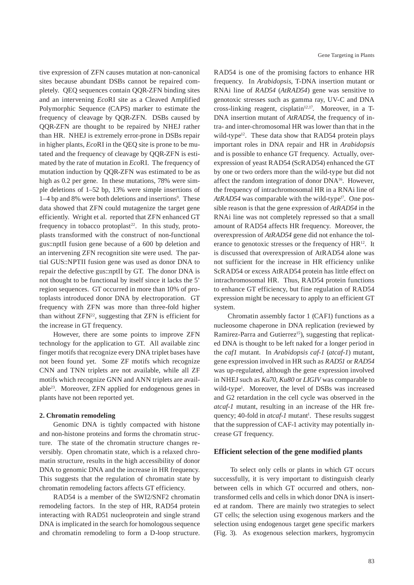tive expression of ZFN causes mutation at non-canonical sites because abundant DSBs cannot be repaired completely. QEQ sequences contain QQR-ZFN binding sites and an intervening *Eco*RI site as a Cleaved Amplified Polymorphic Sequence (CAPS) marker to estimate the frequency of cleavage by QQR-ZFN. DSBs caused by QQR-ZFN are thought to be repaired by NHEJ rather than HR. NHEJ is extremely error-prone in DSBs repair in higher plants, *Eco*RI in the QEQ site is prone to be mutated and the frequency of cleavage by QQR-ZFN is estimated by the rate of mutation in *Eco*RI. The frequency of mutation induction by QQR-ZFN was estimated to be as high as 0.2 per gene. In these mutations, 78% were simple deletions of 1–52 bp, 13% were simple insertions of 1–4 bp and 8% were both deletions and insertions<sup>9</sup>. These data showed that ZFN could mutagenize the target gene efficiently. Wright et al. reported that ZFN enhanced GT frequency in tobacco protoplast<sup>22</sup>. In this study, protoplasts transformed with the construct of non-functional gus::nptII fusion gene because of a 600 bp deletion and an intervening ZFN recognition site were used. The partial GUS::NPTII fusion gene was used as donor DNA to repair the defective gus::nptII by GT. The donor DNA is not thought to be functional by itself since it lacks the 5' region sequences. GT occurred in more than 10% of protoplasts introduced donor DNA by electroporation. GT frequency with ZFN was more than three-fold higher than without  $ZFN^{22}$ , suggesting that  $ZFN$  is efficient for the increase in GT frequency.

However, there are some points to improve ZFN technology for the application to GT. All available zinc finger motifs that recognize every DNA triplet bases have not been found yet. Some ZF motifs which recognize CNN and TNN triplets are not available, while all ZF motifs which recognize GNN and ANN triplets are available23. Moreover, ZFN applied for endogenous genes in plants have not been reported yet.

## **2. Chromatin remodeling**

Genomic DNA is tightly compacted with histone and non-histone proteins and forms the chromatin structure. The state of the chromatin structure changes reversibly. Open chromatin state, which is a relaxed chromatin structure, results in the high accessibility of donor DNA to genomic DNA and the increase in HR frequency. This suggests that the regulation of chromatin state by chromatin remodeling factors affects GT efficiency.

RAD54 is a member of the SWI2/SNF2 chromatin remodeling factors. In the step of HR, RAD54 protein interacting with RAD51 nucleoprotein and single strand DNA is implicated in the search for homologous sequence and chromatin remodeling to form a D-loop structure. RAD54 is one of the promising factors to enhance HR frequency. In *Arabidopsis*, T-DNA insertion mutant or RNAi line of *RAD54* (*AtRAD54*) gene was sensitive to genotoxic stresses such as gamma ray, UV-C and DNA cross-linking reagent, cisplatin $12,17$ . Moreover, in a T-DNA insertion mutant of *AtRAD54*, the frequency of intra- and inter-chromosomal HR was lower than that in the wild-type<sup>12</sup>. These data show that RAD54 protein plays important roles in DNA repair and HR in *Arabidopsis* and is possible to enhance GT frequency. Actually, overexpression of yeast RAD54 (ScRAD54) enhanced the GT by one or two orders more than the wild-type but did not affect the random integration of donor DNA16. However, the frequency of intrachromosomal HR in a RNAi line of AtRAD54 was comparable with the wild-type<sup>17</sup>. One possible reason is that the gene expression of *AtRAD54* in the RNAi line was not completely repressed so that a small amount of RAD54 affects HR frequency. Moreover, the overexpression of *AtRAD54* gene did not enhance the tolerance to genotoxic stresses or the frequency of  $HR^{12}$ . It is discussed that overexpression of AtRAD54 alone was not sufficient for the increase in HR efficiency unlike ScRAD54 or excess AtRAD54 protein has little effect on intrachromosomal HR. Thus, RAD54 protein functions to enhance GT efficiency, but fine regulation of RAD54 expression might be necessary to apply to an efficient GT system.

Chromatin assembly factor 1 (CAF1) functions as a nucleosome chaperone in DNA replication (reviewed by Ramirez-Parra and Gutierrez<sup>15</sup>), suggesting that replicated DNA is thought to be left naked for a longer period in the *caf1* mutant. In *Arabidopsis caf-1* (*atcaf-1*) mutant, gene expression involved in HR such as *RAD51* or *RAD54* was up-regulated, although the gene expression involved in NHEJ such as *Ku70*, *Ku80* or *LIGIV* was comparable to wild-type<sup>1</sup>. Moreover, the level of DSBs was increased and G2 retardation in the cell cycle was observed in the *atcaf-1* mutant, resulting in an increase of the HR frequency; 40-fold in *atcaf-1* mutant<sup>1</sup>. These results suggest that the suppression of CAF-1 activity may potentially increase GT frequency.

# **Efficient selection of the gene modified plants**

 To select only cells or plants in which GT occurs successfully, it is very important to distinguish clearly between cells in which GT occurred and others, nontransformed cells and cells in which donor DNA is inserted at random. There are mainly two strategies to select GT cells; the selection using exogenous markers and the selection using endogenous target gene specific markers (Fig. 3). As exogenous selection markers, hygromycin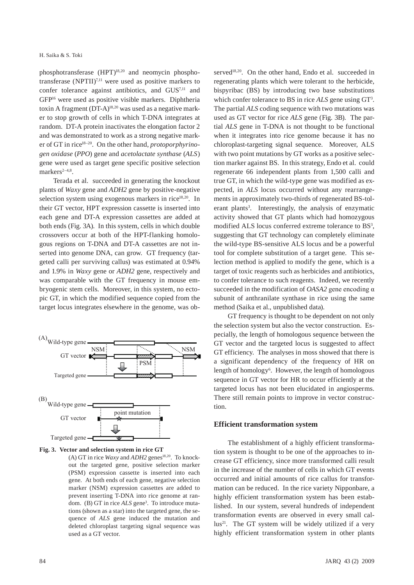phosphotransferase (HPT)18,20 and neomycin phosphotransferase  $(NPTII)^{7,11}$  were used as positive markers to confer tolerance against antibiotics, and GUS7,11 and GFP16 were used as positive visible markers. Diphtheria toxin A fragment (DT-A)<sup>18,20</sup> was used as a negative marker to stop growth of cells in which T-DNA integrates at random. DT-A protein inactivates the elongation factor 2 and was demonstrated to work as a strong negative marker of GT in rice18–20. On the other hand, *protoporphyrinogen oxidase* (*PPO*) gene and *acetolactate synthase* (*ALS*) gene were used as target gene specific positive selection markers $2-4,8$ .

Terada et al. succeeded in generating the knockout plants of *Waxy* gene and *ADH2* gene by positive-negative selection system using exogenous markers in rice<sup>18,20</sup>. In their GT vector, HPT expression cassette is inserted into each gene and DT-A expression cassettes are added at both ends (Fig. 3A). In this system, cells in which double crossovers occur at both of the HPT-flanking homologous regions on T-DNA and DT-A cassettes are not inserted into genome DNA, can grow. GT frequency (targeted calli per surviving callus) was estimated at 0.94% and 1.9% in *Waxy* gene or *ADH2* gene, respectively and was comparable with the GT frequency in mouse embryogenic stem cells. Moreover, in this system, no ectopic GT, in which the modified sequence copied from the target locus integrates elsewhere in the genome, was ob-



**Fig. 3. Vector and selection system in rice GT**

(A) GT in rice *Waxy* and  $ADH2$  genes<sup>18,20</sup>. To knockout the targeted gene, positive selection marker (PSM) expression cassette is inserted into each gene. At both ends of each gene, negative selection marker (NSM) expression cassettes are added to prevent inserting T-DNA into rice genome at random. (B) GT in rice *ALS* gene<sup>3</sup>. To introduce mutations (shown as a star) into the targeted gene, the sequence of *ALS* gene induced the mutation and deleted chloroplast targeting signal sequence was used as a GT vector.

served<sup>18,20</sup>. On the other hand, Endo et al. succeeded in regenerating plants which were tolerant to the herbicide, bispyribac (BS) by introducing two base substitutions which confer tolerance to BS in rice *ALS* gene using GT<sup>3</sup>. The partial *ALS* coding sequence with two mutations was used as GT vector for rice *ALS* gene (Fig. 3B). The partial *ALS* gene in T-DNA is not thought to be functional when it integrates into rice genome because it has no chloroplast-targeting signal sequence. Moreover, ALS with two point mutations by GT works as a positive selection marker against BS. In this strategy, Endo et al. could regenerate 66 independent plants from 1,500 calli and true GT, in which the wild-type gene was modified as expected, in *ALS* locus occurred without any rearrangements in approximately two-thirds of regenerated BS-tolerant plants<sup>3</sup>. Interestingly, the analysis of enzymatic activity showed that GT plants which had homozygous modified ALS locus conferred extreme tolerance to BS<sup>3</sup>, suggesting that GT technology can completely eliminate the wild-type BS-sensitive ALS locus and be a powerful tool for complete substitution of a target gene. This selection method is applied to modify the gene, which is a target of toxic reagents such as herbicides and antibiotics, to confer tolerance to such reagents. Indeed, we recently succeeded in the modification of *OASA2* gene encoding α subunit of anthranilate synthase in rice using the same method (Saika et al., unpublished data).

GT frequency is thought to be dependent on not only the selection system but also the vector construction. Especially, the length of homologous sequence between the GT vector and the targeted locus is suggested to affect GT efficiency. The analyses in moss showed that there is a significant dependency of the frequency of HR on length of homology<sup>6</sup>. However, the length of homologous sequence in GT vector for HR to occur efficiently at the targeted locus has not been elucidated in angiosperms. There still remain points to improve in vector construction.

#### **Efficient transformation system**

The establishment of a highly efficient transformation system is thought to be one of the approaches to increase GT efficiency, since more transformed calli result in the increase of the number of cells in which GT events occurred and initial amounts of rice callus for transformation can be reduced. In the rice variety Nipponbare, a highly efficient transformation system has been established. In our system, several hundreds of independent transformation events are observed in every small cal- $\text{lus}^{21}$ . The GT system will be widely utilized if a very highly efficient transformation system in other plants